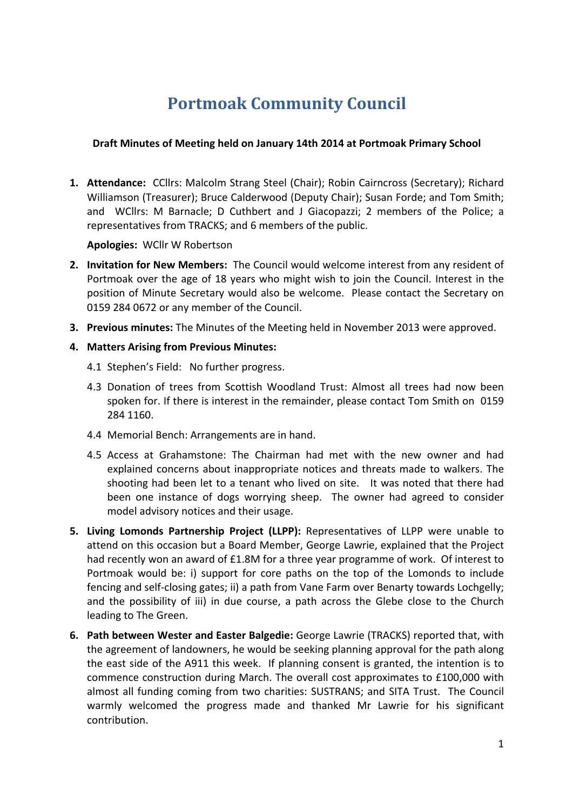# **Portmoak Community Council**

#### **Draft Minutes of Meeting held on January 14th 2014 at Portmoak Primary School**

1. Attendance: CCllrs: Malcolm Strang Steel (Chair); Robin Cairncross (Secretary); Richard Williamson (Treasurer); Bruce Calderwood (Deputy Chair); Susan Forde; and Tom Smith; and WCIIrs: M Barnacle; D Cuthbert and J Giacopazzi; 2 members of the Police; a representatives from TRACKS; and 6 members of the public.

#### **Apologies: WCllr W Robertson**

- **2.** Invitation for New Members: The Council would welcome interest from any resident of Portmoak over the age of 18 years who might wish to join the Council. Interest in the position of Minute Secretary would also be welcome. Please contact the Secretary on 0159 284 0672 or any member of the Council.
- **3. Previous minutes:** The Minutes of the Meeting held in November 2013 were approved.

#### **4. Matters Arising from Previous Minutes:**

- 4.1 Stephen's Field: No further progress.
- 4.3 Donation of trees from Scottish Woodland Trust: Almost all trees had now been spoken for. If there is interest in the remainder, please contact Tom Smith on 0159 284 1160.
- 4.4 Memorial Bench: Arrangements are in hand.
- 4.5 Access at Grahamstone: The Chairman had met with the new owner and had explained concerns about inappropriate notices and threats made to walkers. The shooting had been let to a tenant who lived on site. It was noted that there had been one instance of dogs worrying sheep. The owner had agreed to consider model advisory notices and their usage.
- **5. Living Lomonds Partnership Project (LLPP):** Representatives of LLPP were unable to attend on this occasion but a Board Member, George Lawrie, explained that the Project had recently won an award of £1.8M for a three year programme of work. Of interest to Portmoak would be: i) support for core paths on the top of the Lomonds to include fencing and self-closing gates; ii) a path from Vane Farm over Benarty towards Lochgelly; and the possibility of iii) in due course, a path across the Glebe close to the Church leading to The Green.
- **6.** Path between Wester and Easter Balgedie: George Lawrie (TRACKS) reported that, with the agreement of landowners, he would be seeking planning approval for the path along the east side of the A911 this week. If planning consent is granted, the intention is to commence construction during March. The overall cost approximates to £100,000 with almost all funding coming from two charities: SUSTRANS; and SITA Trust. The Council warmly welcomed the progress made and thanked Mr Lawrie for his significant contribution.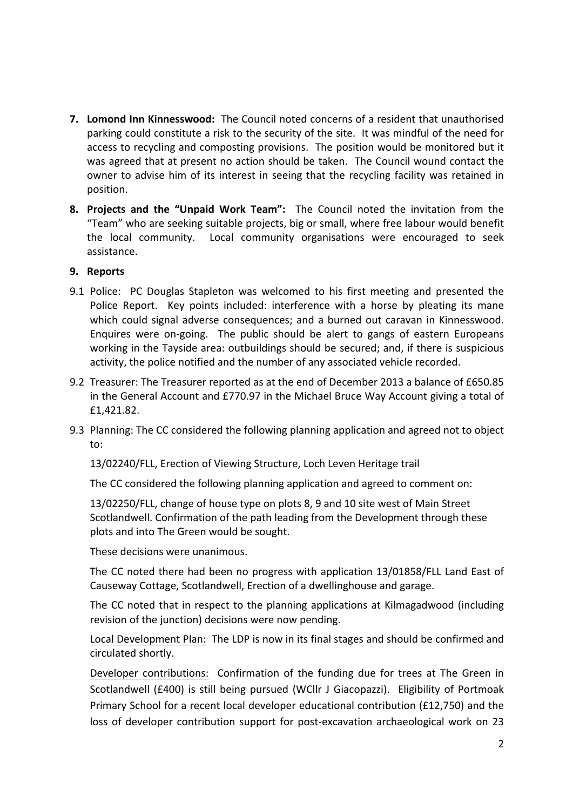- **7. Lomond Inn Kinnesswood:** The Council noted concerns of a resident that unauthorised parking could constitute a risk to the security of the site. It was mindful of the need for access to recycling and composting provisions. The position would be monitored but it was agreed that at present no action should be taken. The Council wound contact the owner to advise him of its interest in seeing that the recycling facility was retained in position.
- **8. Projects and the "Unpaid Work Team":** The Council noted the invitation from the "Team" who are seeking suitable projects, big or small, where free labour would benefit the local community. Local community organisations were encouraged to seek assistance.

#### **9. Reports**

- 9.1 Police: PC Douglas Stapleton was welcomed to his first meeting and presented the Police Report. Key points included: interference with a horse by pleating its mane which could signal adverse consequences; and a burned out caravan in Kinnesswood. Enquires were on-going. The public should be alert to gangs of eastern Europeans working in the Tayside area: outbuildings should be secured; and, if there is suspicious activity, the police notified and the number of any associated vehicle recorded.
- 9.2 Treasurer: The Treasurer reported as at the end of December 2013 a balance of £650.85 in the General Account and £770.97 in the Michael Bruce Way Account giving a total of £1,421.82.
- 9.3 Planning: The CC considered the following planning application and agreed not to object to:

13/02240/FLL, Erection of Viewing Structure, Loch Leven Heritage trail

The CC considered the following planning application and agreed to comment on:

13/02250/FLL, change of house type on plots 8, 9 and 10 site west of Main Street Scotlandwell. Confirmation of the path leading from the Development through these plots and into The Green would be sought.

These decisions were unanimous.

The CC noted there had been no progress with application 13/01858/FLL Land East of Causeway Cottage, Scotlandwell, Erection of a dwellinghouse and garage.

The CC noted that in respect to the planning applications at Kilmagadwood (including revision of the junction) decisions were now pending.

Local Development Plan: The LDP is now in its final stages and should be confirmed and circulated shortly.

Developer contributions: Confirmation of the funding due for trees at The Green in Scotlandwell (£400) is still being pursued (WCllr J Giacopazzi). Eligibility of Portmoak Primary School for a recent local developer educational contribution ( $£12,750$ ) and the loss of developer contribution support for post-excavation archaeological work on 23